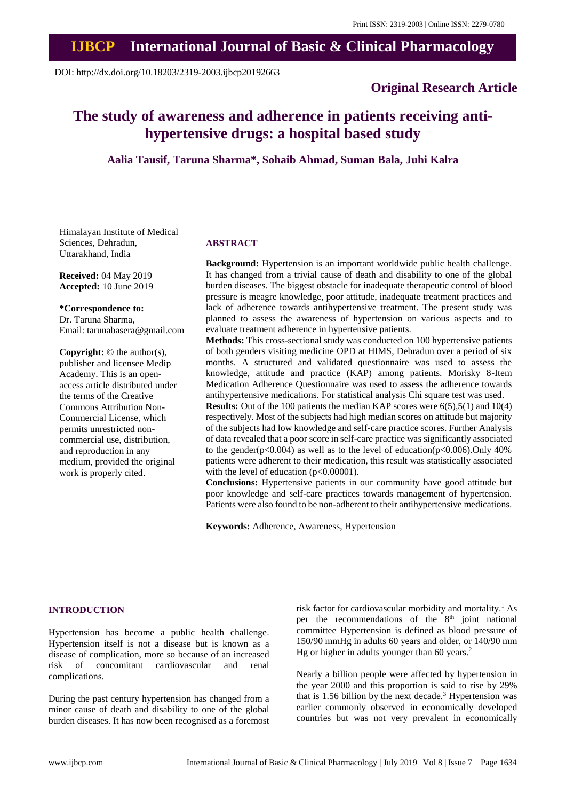# **IJBCP International Journal of Basic & Clinical Pharmacology**

DOI: http://dx.doi.org/10.18203/2319-2003.ijbcp20192663

### **Original Research Article**

## **The study of awareness and adherence in patients receiving antihypertensive drugs: a hospital based study**

**Aalia Tausif, Taruna Sharma\*, Sohaib Ahmad, Suman Bala, Juhi Kalra**

Himalayan Institute of Medical Sciences, Dehradun, Uttarakhand, India

**Received:** 04 May 2019 **Accepted:** 10 June 2019

**\*Correspondence to:** Dr. Taruna Sharma,

Email: tarunabasera@gmail.com

**Copyright:** © the author(s), publisher and licensee Medip Academy. This is an openaccess article distributed under the terms of the Creative Commons Attribution Non-Commercial License, which permits unrestricted noncommercial use, distribution, and reproduction in any medium, provided the original work is properly cited.

#### **ABSTRACT**

**Background:** Hypertension is an important worldwide public health challenge. It has changed from a trivial cause of death and disability to one of the global burden diseases. The biggest obstacle for inadequate therapeutic control of blood pressure is meagre knowledge, poor attitude, inadequate treatment practices and lack of adherence towards antihypertensive treatment. The present study was planned to assess the awareness of hypertension on various aspects and to evaluate treatment adherence in hypertensive patients.

**Methods:** This cross-sectional study was conducted on 100 hypertensive patients of both genders visiting medicine OPD at HIMS, Dehradun over a period of six months. A structured and validated questionnaire was used to assess the knowledge, attitude and practice (KAP) among patients. Morisky 8-Item Medication Adherence Questionnaire was used to assess the adherence towards antihypertensive medications. For statistical analysis Chi square test was used.

**Results:** Out of the 100 patients the median KAP scores were 6(5),5(1) and 10(4) respectively. Most of the subjects had high median scores on attitude but majority of the subjects had low knowledge and self-care practice scores. Further Analysis of data revealed that a poor score in self-care practice was significantly associated to the gender( $p<0.004$ ) as well as to the level of education( $p<0.006$ ). Only 40% patients were adherent to their medication, this result was statistically associated with the level of education (p<0.00001).

**Conclusions:** Hypertensive patients in our community have good attitude but poor knowledge and self-care practices towards management of hypertension. Patients were also found to be non-adherent to their antihypertensive medications.

**Keywords:** Adherence, Awareness, Hypertension

#### **INTRODUCTION**

Hypertension has become a public health challenge. Hypertension itself is not a disease but is known as a disease of complication, more so because of an increased risk of concomitant cardiovascular and renal complications.

During the past century hypertension has changed from a minor cause of death and disability to one of the global burden diseases. It has now been recognised as a foremost risk factor for cardiovascular morbidity and mortality.<sup>1</sup> As per the recommendations of the  $8<sup>th</sup>$  joint national committee Hypertension is defined as blood pressure of 150/90 mmHg in adults 60 years and older, or 140/90 mm Hg or higher in adults younger than 60 years.<sup>2</sup>

Nearly a billion people were affected by hypertension in the year 2000 and this proportion is said to rise by 29% that is 1.56 billion by the next decade.<sup>3</sup> Hypertension was earlier commonly observed in economically developed countries but was not very prevalent in economically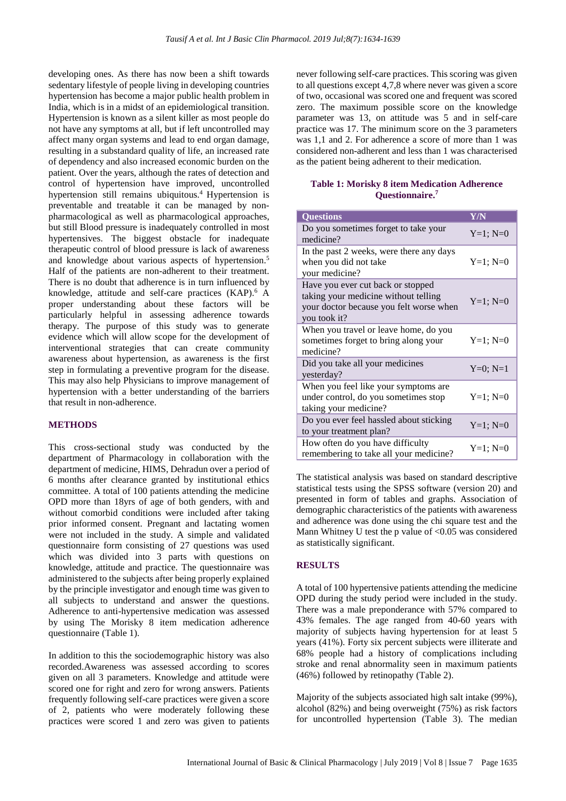developing ones. As there has now been a shift towards sedentary lifestyle of people living in developing countries hypertension has become a major public health problem in India, which is in a midst of an epidemiological transition. Hypertension is known as a silent killer as most people do not have any symptoms at all, but if left uncontrolled may affect many organ systems and lead to end organ damage, resulting in a substandard quality of life, an increased rate of dependency and also increased economic burden on the patient. Over the years, although the rates of detection and control of hypertension have improved, uncontrolled hypertension still remains ubiquitous.<sup>4</sup> Hypertension is preventable and treatable it can be managed by nonpharmacological as well as pharmacological approaches, but still Blood pressure is inadequately controlled in most hypertensives. The biggest obstacle for inadequate therapeutic control of blood pressure is lack of awareness and knowledge about various aspects of hypertension.<sup>5</sup> Half of the patients are non-adherent to their treatment. There is no doubt that adherence is in turn influenced by knowledge, attitude and self-care practices (KAP).<sup>6</sup> A proper understanding about these factors will be particularly helpful in assessing adherence towards therapy. The purpose of this study was to generate evidence which will allow scope for the development of interventional strategies that can create community awareness about hypertension, as awareness is the first step in formulating a preventive program for the disease. This may also help Physicians to improve management of hypertension with a better understanding of the barriers that result in non-adherence.

#### **METHODS**

This cross-sectional study was conducted by the department of Pharmacology in collaboration with the department of medicine, HIMS, Dehradun over a period of 6 months after clearance granted by institutional ethics committee. A total of 100 patients attending the medicine OPD more than 18yrs of age of both genders, with and without comorbid conditions were included after taking prior informed consent. Pregnant and lactating women were not included in the study. A simple and validated questionnaire form consisting of 27 questions was used which was divided into 3 parts with questions on knowledge, attitude and practice. The questionnaire was administered to the subjects after being properly explained by the principle investigator and enough time was given to all subjects to understand and answer the questions. Adherence to anti-hypertensive medication was assessed by using The Morisky 8 item medication adherence questionnaire (Table 1).

In addition to this the sociodemographic history was also recorded.Awareness was assessed according to scores given on all 3 parameters. Knowledge and attitude were scored one for right and zero for wrong answers. Patients frequently following self-care practices were given a score of 2, patients who were moderately following these practices were scored 1 and zero was given to patients never following self-care practices. This scoring was given to all questions except 4,7,8 where never was given a score of two, occasional was scored one and frequent was scored zero. The maximum possible score on the knowledge parameter was 13, on attitude was 5 and in self-care practice was 17. The minimum score on the 3 parameters was 1,1 and 2. For adherence a score of more than 1 was considered non-adherent and less than 1 was characterised as the patient being adherent to their medication.

#### **Table 1: Morisky 8 item Medication Adherence Questionnaire. 7**

| <b>Questions</b>                                                                                                                     | Y/N           |
|--------------------------------------------------------------------------------------------------------------------------------------|---------------|
| Do you sometimes forget to take your<br>medicine?                                                                                    | $Y=1; N=0$    |
| In the past 2 weeks, were there any days<br>when you did not take<br>your medicine?                                                  | $Y=1; N=0$    |
| Have you ever cut back or stopped<br>taking your medicine without telling<br>your doctor because you felt worse when<br>you took it? | $Y=1$ ; $N=0$ |
| When you travel or leave home, do you<br>sometimes forget to bring along your<br>medicine?                                           | $Y=1; N=0$    |
| Did you take all your medicines<br>yesterday?                                                                                        | $Y=0; N=1$    |
| When you feel like your symptoms are<br>under control, do you sometimes stop<br>taking your medicine?                                | $Y=1; N=0$    |
| Do you ever feel hassled about sticking<br>to your treatment plan?                                                                   | $Y=1; N=0$    |
| How often do you have difficulty<br>remembering to take all your medicine?                                                           | $Y=1; N=0$    |

The statistical analysis was based on standard descriptive statistical tests using the SPSS software (version 20) and presented in form of tables and graphs. Association of demographic characteristics of the patients with awareness and adherence was done using the chi square test and the Mann Whitney U test the p value of  $< 0.05$  was considered as statistically significant.

#### **RESULTS**

A total of 100 hypertensive patients attending the medicine OPD during the study period were included in the study. There was a male preponderance with 57% compared to 43% females. The age ranged from 40-60 years with majority of subjects having hypertension for at least 5 years (41%). Forty six percent subjects were illiterate and 68% people had a history of complications including stroke and renal abnormality seen in maximum patients (46%) followed by retinopathy (Table 2).

Majority of the subjects associated high salt intake (99%), alcohol (82%) and being overweight (75%) as risk factors for uncontrolled hypertension (Table 3). The median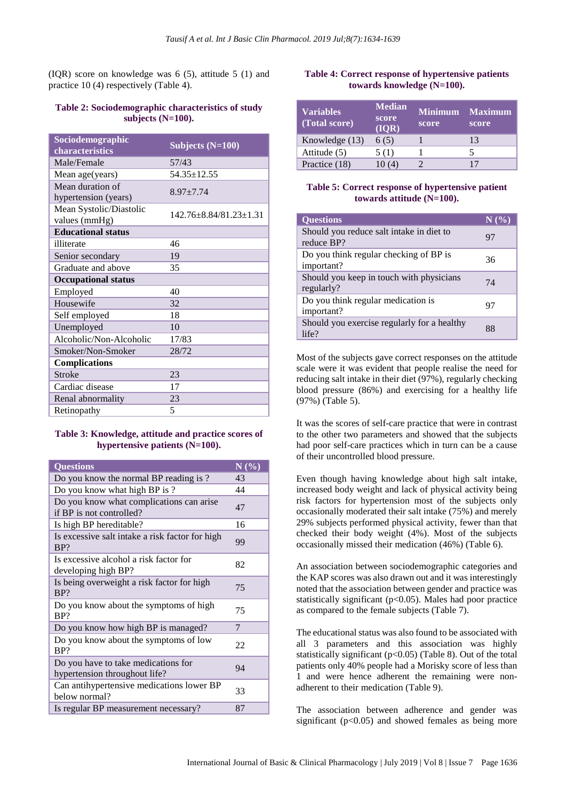(IQR) score on knowledge was 6 (5), attitude 5 (1) and practice 10 (4) respectively (Table 4).

#### **Table 2: Sociodemographic characteristics of study subjects (N=100).**

| Sociodemographic           | Subjects $(N=100)$     |  |  |
|----------------------------|------------------------|--|--|
| characteristics            |                        |  |  |
| Male/Female                | 57/43                  |  |  |
| Mean age(years)            | $54.35 \pm 12.55$      |  |  |
| Mean duration of           | $8.97 + 7.74$          |  |  |
| hypertension (years)       |                        |  |  |
| Mean Systolic/Diastolic    | 142.76±8.84/81.23±1.31 |  |  |
| values (mmHg)              |                        |  |  |
| <b>Educational status</b>  |                        |  |  |
| illiterate                 | 46                     |  |  |
| Senior secondary           | 19                     |  |  |
| Graduate and above         | 35                     |  |  |
| <b>Occupational status</b> |                        |  |  |
| Employed                   | 40                     |  |  |
| Housewife                  | 32                     |  |  |
| Self employed              | 18                     |  |  |
| Unemployed                 | 10                     |  |  |
| Alcoholic/Non-Alcoholic    | 17/83                  |  |  |
| Smoker/Non-Smoker          | 28/72                  |  |  |
| <b>Complications</b>       |                        |  |  |
| <b>Stroke</b>              | 23                     |  |  |
| Cardiac disease            | 17                     |  |  |
| Renal abnormality          | 23                     |  |  |
| Retinopathy                | 5                      |  |  |

#### **Table 3: Knowledge, attitude and practice scores of hypertensive patients (N=100).**

| <b>Questions</b>                                                     | $\overline{\mathbf{N}\left(\mathbf{\%}\right)}$ |
|----------------------------------------------------------------------|-------------------------------------------------|
| Do you know the normal BP reading is?                                | 43                                              |
| Do you know what high BP is ?                                        | 44                                              |
| Do you know what complications can arise<br>if BP is not controlled? | 47                                              |
| Is high BP hereditable?                                              | 16                                              |
| Is excessive salt intake a risk factor for high<br>BP?               | 99                                              |
| Is excessive alcohol a risk factor for<br>developing high BP?        | 82                                              |
| Is being overweight a risk factor for high<br>BP?                    | 75                                              |
| Do you know about the symptoms of high<br>BP?                        | 75                                              |
| Do you know how high BP is managed?                                  | 7                                               |
| Do you know about the symptoms of low<br>BP?                         | 22                                              |
| Do you have to take medications for<br>hypertension throughout life? | 94                                              |
| Can antihypertensive medications lower BP<br>below normal?           | 33                                              |
| Is regular BP measurement necessary?                                 | 87                                              |

#### **Table 4: Correct response of hypertensive patients towards knowledge (N=100).**

| <b>Variables</b><br>(Total score) | <b>Median</b><br>score<br>(IOR) | <b>Minimum</b><br>score | <b>Maximum</b><br>score |
|-----------------------------------|---------------------------------|-------------------------|-------------------------|
| Knowledge (13)                    | 6(5)                            |                         | 13                      |
| Attitude (5)                      | 5(1)                            |                         |                         |
| Practice (18)                     |                                 |                         |                         |

#### **Table 5: Correct response of hypertensive patient towards attitude (N=100).**

| <b>Ouestions</b>                                       | $N$ (%) |
|--------------------------------------------------------|---------|
| Should you reduce salt intake in diet to<br>reduce BP? | 97      |
| Do you think regular checking of BP is<br>important?   | 36      |
| Should you keep in touch with physicians<br>regularly? | 74      |
| Do you think regular medication is<br>important?       | 97      |
| Should you exercise regularly for a healthy<br>life?   | 88      |

Most of the subjects gave correct responses on the attitude scale were it was evident that people realise the need for reducing salt intake in their diet (97%), regularly checking blood pressure (86%) and exercising for a healthy life (97%) (Table 5).

It was the scores of self-care practice that were in contrast to the other two parameters and showed that the subjects had poor self-care practices which in turn can be a cause of their uncontrolled blood pressure.

Even though having knowledge about high salt intake, increased body weight and lack of physical activity being risk factors for hypertension most of the subjects only occasionally moderated their salt intake (75%) and merely 29% subjects performed physical activity, fewer than that checked their body weight (4%). Most of the subjects occasionally missed their medication (46%) (Table 6).

An association between sociodemographic categories and the KAP scores was also drawn out and it was interestingly noted that the association between gender and practice was statistically significant ( $p<0.05$ ). Males had poor practice as compared to the female subjects (Table 7).

The educational status was also found to be associated with all 3 parameters and this association was highly statistically significant ( $p<0.05$ ) (Table 8). Out of the total patients only 40% people had a Morisky score of less than 1 and were hence adherent the remaining were nonadherent to their medication (Table 9).

The association between adherence and gender was significant ( $p<0.05$ ) and showed females as being more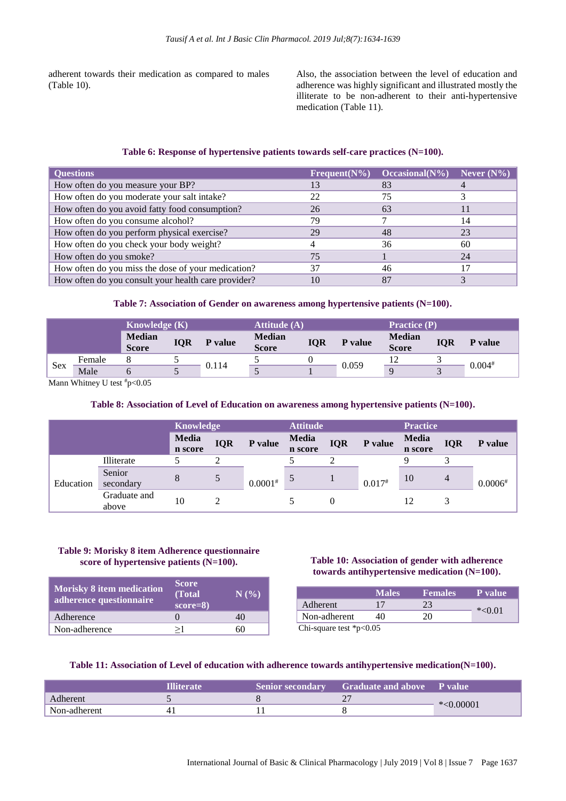adherent towards their medication as compared to males (Table 10).

Also, the association between the level of education and adherence was highly significant and illustrated mostly the illiterate to be non-adherent to their anti-hypertensive medication (Table 11).

#### **Table 6: Response of hypertensive patients towards self-care practices (N=100).**

| <b>Questions</b>                                    | $Frequent(N\%)$ | Occasional( $N\%$ ) | Never $(N\%)$ |
|-----------------------------------------------------|-----------------|---------------------|---------------|
| How often do you measure your BP?                   |                 | 83                  |               |
| How often do you moderate your salt intake?         | 22              | 75                  |               |
| How often do you avoid fatty food consumption?      | 26              | 63                  |               |
| How often do you consume alcohol?                   | 79              |                     | 14            |
| How often do you perform physical exercise?         | 29              | 48                  | 23            |
| How often do you check your body weight?            |                 | 36                  | 60            |
| How often do you smoke?                             | 75              |                     | 24            |
| How often do you miss the dose of your medication?  | 37              | 46                  |               |
| How often do you consult your health care provider? | 10              | 87                  |               |

#### **Table 7: Association of Gender on awareness among hypertensive patients (N=100).**

| <b>Knowledge</b> $(K)$ |        | <b>Attitude</b> (A)           |            |         | <b>Practice</b> (P)           |            |         |                        |            |          |
|------------------------|--------|-------------------------------|------------|---------|-------------------------------|------------|---------|------------------------|------------|----------|
|                        |        | <b>Median</b><br><b>Score</b> | <b>IQR</b> | P value | <b>Median</b><br><b>Score</b> | <b>IQR</b> | P value | <b>Median</b><br>Score | <b>IQR</b> | P value  |
|                        | Female |                               |            | 0.114   |                               |            | 0.059   |                        |            | $0.004*$ |
| Sex                    | Male   |                               |            |         |                               |            |         | q                      |            |          |

Mann Whitney U test  $p<0.05$ 

#### **Table 8: Association of Level of Education on awareness among hypertensive patients (N=100).**

|           |                       | <b>Knowledge</b>        |            | <b>Attitude</b> |                  | <b>Practice</b> |          |                  |            |                |
|-----------|-----------------------|-------------------------|------------|-----------------|------------------|-----------------|----------|------------------|------------|----------------|
|           |                       | <b>Media</b><br>n score | <b>IQR</b> | P value         | Media<br>n score | <b>IQR</b>      | P value  | Media<br>n score | <b>IQR</b> | <b>P</b> value |
|           | Illiterate            |                         |            |                 |                  |                 |          |                  |            |                |
| Education | Senior<br>secondary   | 8                       |            | $0.0001^{*}$    | 5                |                 | $0.017*$ | 10               | 4          | $0.0006*$      |
|           | Graduate and<br>above | 10                      |            |                 |                  |                 |          | 12               |            |                |

#### **Table 9: Morisky 8 item Adherence questionnaire score of hypertensive patients (N=100).**

| <b>Morisky 8 item medication</b><br>adherence questionnaire | <b>Score</b><br>(Total<br>$score=8$ | N(% |
|-------------------------------------------------------------|-------------------------------------|-----|
| Adherence                                                   |                                     |     |
| Non-adherence                                               | >1                                  |     |

#### **Table 10: Association of gender with adherence towards antihypertensive medication (N=100).**

|                          | <b>Males</b> | <b>Females</b> | <b>P</b> value |
|--------------------------|--------------|----------------|----------------|
| Adherent                 | 17           |                |                |
| Non-adherent             |              |                | $*<0.01$       |
| Chi-square test $p<0.05$ |              |                |                |

#### **Table 11: Association of Level of education with adherence towards antihypertensive medication(N=100).**

|              | <b>Illiterate</b> | <b>Senior secondary</b> | <b>Graduate and above P value</b> |             |
|--------------|-------------------|-------------------------|-----------------------------------|-------------|
| Adherent     |                   |                         |                                   |             |
| Non-adherent |                   |                         |                                   | $*<0.00001$ |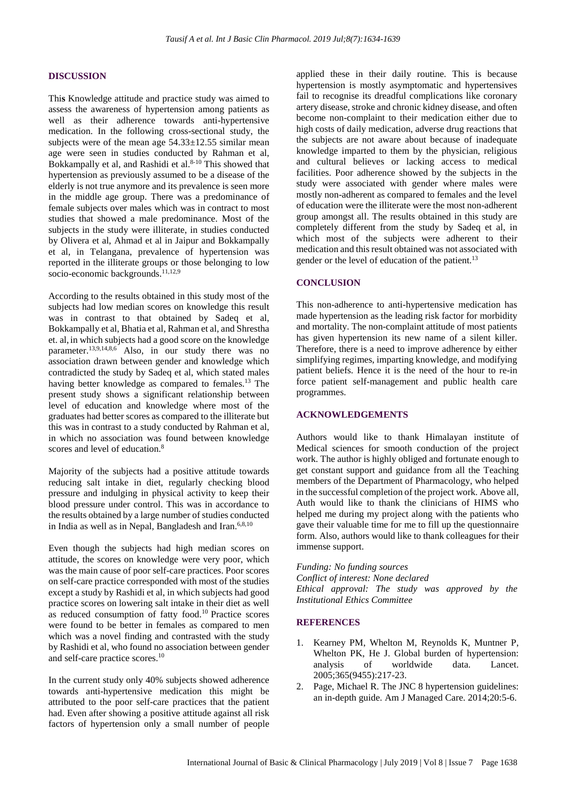#### **DISCUSSION**

Thi**s** Knowledge attitude and practice study was aimed to assess the awareness of hypertension among patients as well as their adherence towards anti-hypertensive medication. In the following cross-sectional study, the subjects were of the mean age  $54.33\pm12.55$  similar mean age were seen in studies conducted by Rahman et al, Bokkampally et al, and Rashidi et al. $8-10$  This showed that hypertension as previously assumed to be a disease of the elderly is not true anymore and its prevalence is seen more in the middle age group. There was a predominance of female subjects over males which was in contract to most studies that showed a male predominance. Most of the subjects in the study were illiterate, in studies conducted by Olivera et al, Ahmad et al in Jaipur and Bokkampally et al, in Telangana, prevalence of hypertension was reported in the illiterate groups or those belonging to low socio-economic backgrounds.<sup>11,12,9</sup>

According to the results obtained in this study most of the subjects had low median scores on knowledge this result was in contrast to that obtained by Sadeq et al, Bokkampally et al, Bhatia et al, Rahman et al, and Shrestha et. al, in which subjects had a good score on the knowledge parameter.<sup>13,9,14,8,6</sup> Also, in our study there was no association drawn between gender and knowledge which contradicted the study by Sadeq et al, which stated males having better knowledge as compared to females.<sup>13</sup> The present study shows a significant relationship between level of education and knowledge where most of the graduates had better scores as compared to the illiterate but this was in contrast to a study conducted by Rahman et al, in which no association was found between knowledge scores and level of education.<sup>8</sup>

Majority of the subjects had a positive attitude towards reducing salt intake in diet, regularly checking blood pressure and indulging in physical activity to keep their blood pressure under control. This was in accordance to the results obtained by a large number of studies conducted in India as well as in Nepal, Bangladesh and Iran. $6,8,10$ 

Even though the subjects had high median scores on attitude, the scores on knowledge were very poor, which was the main cause of poor self-care practices. Poor scores on self-care practice corresponded with most of the studies except a study by Rashidi et al, in which subjects had good practice scores on lowering salt intake in their diet as well as reduced consumption of fatty food.<sup>10</sup> Practice scores were found to be better in females as compared to men which was a novel finding and contrasted with the study by Rashidi et al, who found no association between gender and self-care practice scores.<sup>10</sup>

In the current study only 40% subjects showed adherence towards anti-hypertensive medication this might be attributed to the poor self-care practices that the patient had. Even after showing a positive attitude against all risk factors of hypertension only a small number of people applied these in their daily routine. This is because hypertension is mostly asymptomatic and hypertensives fail to recognise its dreadful complications like coronary artery disease, stroke and chronic kidney disease, and often become non-complaint to their medication either due to high costs of daily medication, adverse drug reactions that the subjects are not aware about because of inadequate knowledge imparted to them by the physician, religious and cultural believes or lacking access to medical facilities. Poor adherence showed by the subjects in the study were associated with gender where males were mostly non-adherent as compared to females and the level of education were the illiterate were the most non-adherent group amongst all. The results obtained in this study are completely different from the study by Sadeq et al, in which most of the subjects were adherent to their medication and this result obtained was not associated with gender or the level of education of the patient.<sup>13</sup>

#### **CONCLUSION**

This non-adherence to anti-hypertensive medication has made hypertension as the leading risk factor for morbidity and mortality. The non-complaint attitude of most patients has given hypertension its new name of a silent killer. Therefore, there is a need to improve adherence by either simplifying regimes, imparting knowledge, and modifying patient beliefs. Hence it is the need of the hour to re-in force patient self-management and public health care programmes.

#### **ACKNOWLEDGEMENTS**

Authors would like to thank Himalayan institute of Medical sciences for smooth conduction of the project work. The author is highly obliged and fortunate enough to get constant support and guidance from all the Teaching members of the Department of Pharmacology, who helped in the successful completion of the project work. Above all, Auth would like to thank the clinicians of HIMS who helped me during my project along with the patients who gave their valuable time for me to fill up the questionnaire form. Also, authors would like to thank colleagues for their immense support.

*Funding: No funding sources Conflict of interest: None declared Ethical approval: The study was approved by the Institutional Ethics Committee*

#### **REFERENCES**

- Kearney PM, Whelton M, Reynolds K, Muntner P, Whelton PK, He J. Global burden of hypertension: analysis of worldwide data. Lancet. 2005;365(9455):217-23.
- 2. Page, Michael R. The JNC 8 hypertension guidelines: an in-depth guide. Am J Managed Care. 2014;20:5-6.